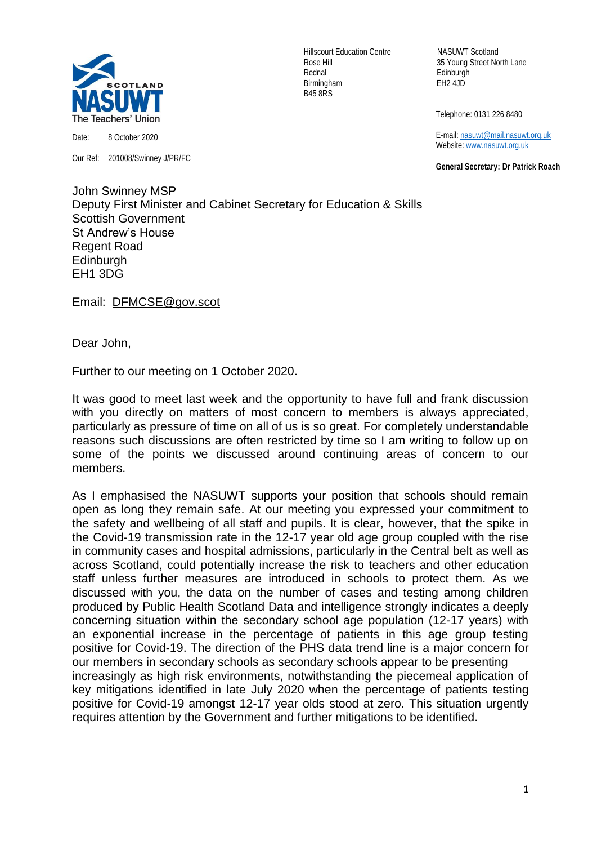

Date: 8 October 2020

Our Ref: 201008/Swinney J/PR/FC

Hillscourt Education Centre NASUWT Scotland Rednal Edinburgh Birmingham EH2 4JD B45 8RS

Rose Hill 35 Young Street North Lane

Telephone: 0131 226 8480

 E-mail[: nasuwt@mail.nasuwt.org.uk](mailto:nasuwt@mail.nasuwt.org.uk) Website: [www.nasuwt.org.uk](http://www.nasuwt.org.uk/)

 **General Secretary: Dr Patrick Roach**

John Swinney MSP Deputy First Minister and Cabinet Secretary for Education & Skills Scottish Government St Andrew's House Regent Road **Edinburgh** EH1 3DG

Email: [DFMCSE@gov.scot](mailto:DFMCSE@gov.scot)

Dear John,

Further to our meeting on 1 October 2020.

It was good to meet last week and the opportunity to have full and frank discussion with you directly on matters of most concern to members is always appreciated, particularly as pressure of time on all of us is so great. For completely understandable reasons such discussions are often restricted by time so I am writing to follow up on some of the points we discussed around continuing areas of concern to our members.

As I emphasised the NASUWT supports your position that schools should remain open as long they remain safe. At our meeting you expressed your commitment to the safety and wellbeing of all staff and pupils. It is clear, however, that the spike in the Covid-19 transmission rate in the 12-17 year old age group coupled with the rise in community cases and hospital admissions, particularly in the Central belt as well as across Scotland, could potentially increase the risk to teachers and other education staff unless further measures are introduced in schools to protect them. As we discussed with you, the data on the number of cases and testing among children produced by Public Health Scotland Data and intelligence strongly indicates a deeply concerning situation within the secondary school age population (12-17 years) with an exponential increase in the percentage of patients in this age group testing positive for Covid-19. The direction of the PHS data trend line is a major concern for our members in secondary schools as secondary schools appear to be presenting increasingly as high risk environments, notwithstanding the piecemeal application of key mitigations identified in late July 2020 when the percentage of patients testing positive for Covid-19 amongst 12-17 year olds stood at zero. This situation urgently requires attention by the Government and further mitigations to be identified.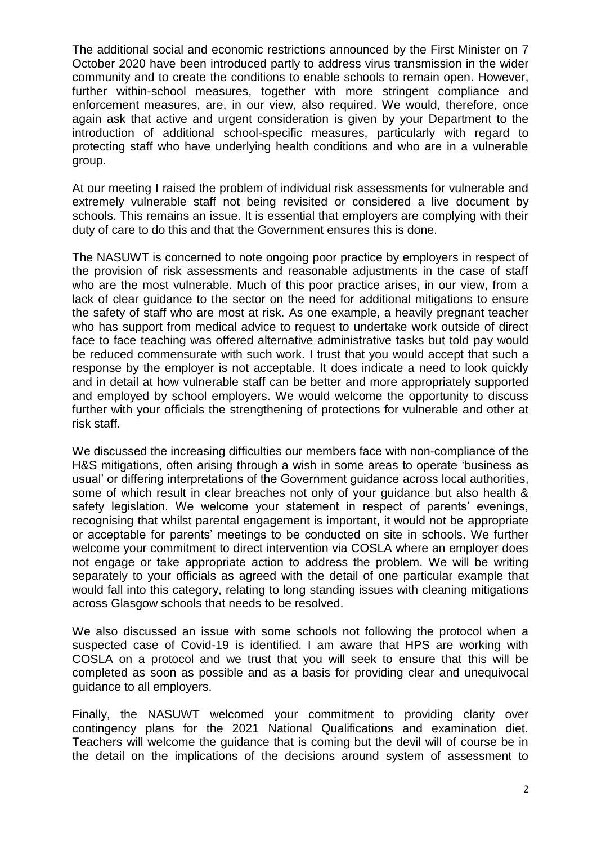The additional social and economic restrictions announced by the First Minister on 7 October 2020 have been introduced partly to address virus transmission in the wider community and to create the conditions to enable schools to remain open. However, further within-school measures, together with more stringent compliance and enforcement measures, are, in our view, also required. We would, therefore, once again ask that active and urgent consideration is given by your Department to the introduction of additional school-specific measures, particularly with regard to protecting staff who have underlying health conditions and who are in a vulnerable group.

At our meeting I raised the problem of individual risk assessments for vulnerable and extremely vulnerable staff not being revisited or considered a live document by schools. This remains an issue. It is essential that employers are complying with their duty of care to do this and that the Government ensures this is done.

The NASUWT is concerned to note ongoing poor practice by employers in respect of the provision of risk assessments and reasonable adjustments in the case of staff who are the most vulnerable. Much of this poor practice arises, in our view, from a lack of clear guidance to the sector on the need for additional mitigations to ensure the safety of staff who are most at risk. As one example, a heavily pregnant teacher who has support from medical advice to request to undertake work outside of direct face to face teaching was offered alternative administrative tasks but told pay would be reduced commensurate with such work. I trust that you would accept that such a response by the employer is not acceptable. It does indicate a need to look quickly and in detail at how vulnerable staff can be better and more appropriately supported and employed by school employers. We would welcome the opportunity to discuss further with your officials the strengthening of protections for vulnerable and other at risk staff.

We discussed the increasing difficulties our members face with non-compliance of the H&S mitigations, often arising through a wish in some areas to operate 'business as usual' or differing interpretations of the Government guidance across local authorities, some of which result in clear breaches not only of your guidance but also health & safety legislation. We welcome your statement in respect of parents' evenings, recognising that whilst parental engagement is important, it would not be appropriate or acceptable for parents' meetings to be conducted on site in schools. We further welcome your commitment to direct intervention via COSLA where an employer does not engage or take appropriate action to address the problem. We will be writing separately to your officials as agreed with the detail of one particular example that would fall into this category, relating to long standing issues with cleaning mitigations across Glasgow schools that needs to be resolved.

We also discussed an issue with some schools not following the protocol when a suspected case of Covid-19 is identified. I am aware that HPS are working with COSLA on a protocol and we trust that you will seek to ensure that this will be completed as soon as possible and as a basis for providing clear and unequivocal guidance to all employers.

Finally, the NASUWT welcomed your commitment to providing clarity over contingency plans for the 2021 National Qualifications and examination diet. Teachers will welcome the guidance that is coming but the devil will of course be in the detail on the implications of the decisions around system of assessment to